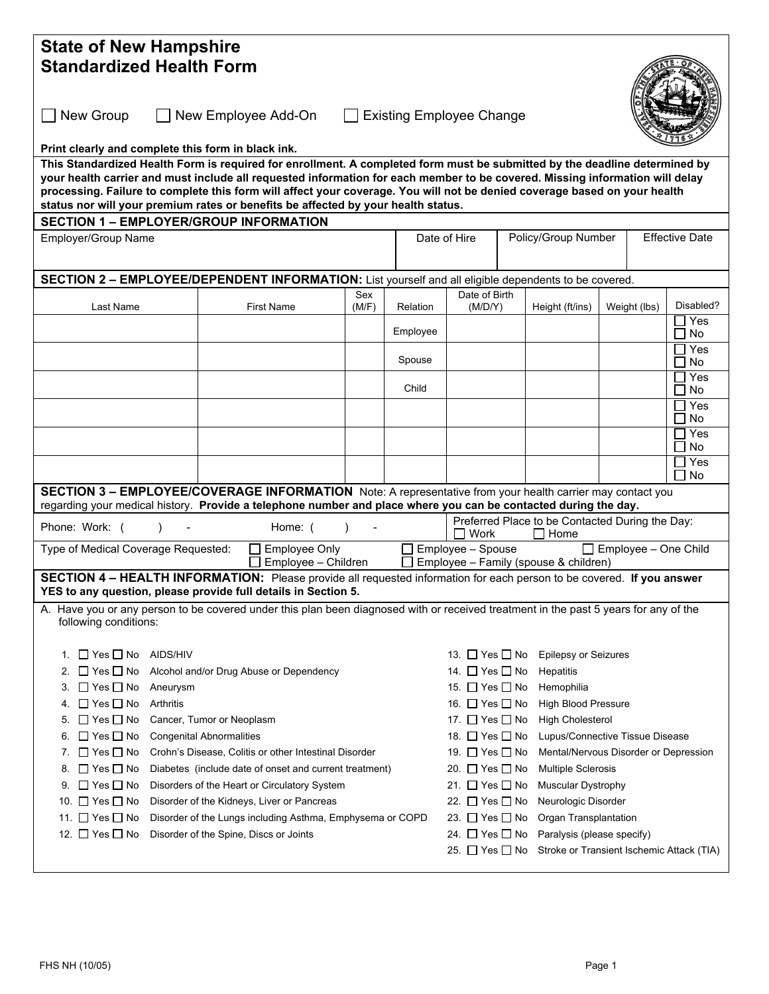| <b>State of New Hampshire</b>                                                                                                                                                                                                                             |                   |                                                                                                      |          |                                              |                                                                                                              |                             |                       |                            |  |  |  |  |
|-----------------------------------------------------------------------------------------------------------------------------------------------------------------------------------------------------------------------------------------------------------|-------------------|------------------------------------------------------------------------------------------------------|----------|----------------------------------------------|--------------------------------------------------------------------------------------------------------------|-----------------------------|-----------------------|----------------------------|--|--|--|--|
| <b>Standardized Health Form</b>                                                                                                                                                                                                                           |                   |                                                                                                      |          |                                              |                                                                                                              |                             |                       |                            |  |  |  |  |
|                                                                                                                                                                                                                                                           |                   |                                                                                                      |          |                                              |                                                                                                              |                             |                       |                            |  |  |  |  |
| $\Box$ New Group<br>New Employee Add-On<br><b>Existing Employee Change</b>                                                                                                                                                                                |                   |                                                                                                      |          |                                              |                                                                                                              |                             |                       |                            |  |  |  |  |
| Print clearly and complete this form in black ink.                                                                                                                                                                                                        |                   |                                                                                                      |          |                                              |                                                                                                              |                             |                       |                            |  |  |  |  |
| This Standardized Health Form is required for enrollment. A completed form must be submitted by the deadline determined by                                                                                                                                |                   |                                                                                                      |          |                                              |                                                                                                              |                             |                       |                            |  |  |  |  |
| your health carrier and must include all requested information for each member to be covered. Missing information will delay<br>processing. Failure to complete this form will affect your coverage. You will not be denied coverage based on your health |                   |                                                                                                      |          |                                              |                                                                                                              |                             |                       |                            |  |  |  |  |
| status nor will your premium rates or benefits be affected by your health status.                                                                                                                                                                         |                   |                                                                                                      |          |                                              |                                                                                                              |                             |                       |                            |  |  |  |  |
| <b>SECTION 1 - EMPLOYER/GROUP INFORMATION</b>                                                                                                                                                                                                             |                   |                                                                                                      |          |                                              |                                                                                                              |                             |                       |                            |  |  |  |  |
| Employer/Group Name                                                                                                                                                                                                                                       |                   |                                                                                                      |          | Policy/Group Number<br>Date of Hire          |                                                                                                              |                             | <b>Effective Date</b> |                            |  |  |  |  |
|                                                                                                                                                                                                                                                           |                   |                                                                                                      |          |                                              |                                                                                                              |                             |                       |                            |  |  |  |  |
| SECTION 2 - EMPLOYEE/DEPENDENT INFORMATION: List yourself and all eligible dependents to be covered.                                                                                                                                                      |                   |                                                                                                      |          |                                              |                                                                                                              |                             |                       |                            |  |  |  |  |
|                                                                                                                                                                                                                                                           |                   | Sex                                                                                                  |          | Date of Birth                                |                                                                                                              |                             |                       |                            |  |  |  |  |
| Last Name                                                                                                                                                                                                                                                 | <b>First Name</b> | (M/F)                                                                                                | Relation | (M/D/Y)                                      |                                                                                                              | Height (ft/ins)             | Weight (lbs)          | Disabled?                  |  |  |  |  |
|                                                                                                                                                                                                                                                           |                   |                                                                                                      | Employee |                                              |                                                                                                              |                             |                       | $\square$ Yes<br>$\Box$ No |  |  |  |  |
|                                                                                                                                                                                                                                                           |                   |                                                                                                      |          |                                              |                                                                                                              |                             |                       | □ Yes                      |  |  |  |  |
|                                                                                                                                                                                                                                                           |                   |                                                                                                      | Spouse   |                                              |                                                                                                              |                             |                       | $\Box$ No                  |  |  |  |  |
|                                                                                                                                                                                                                                                           |                   |                                                                                                      | Child    |                                              |                                                                                                              |                             |                       | $\Box$ Yes<br>$\Box$ No    |  |  |  |  |
|                                                                                                                                                                                                                                                           |                   |                                                                                                      |          |                                              |                                                                                                              |                             |                       | $\sqsupset$ Yes            |  |  |  |  |
|                                                                                                                                                                                                                                                           |                   |                                                                                                      |          |                                              |                                                                                                              |                             |                       | $\Box$ No                  |  |  |  |  |
|                                                                                                                                                                                                                                                           |                   |                                                                                                      |          |                                              |                                                                                                              |                             |                       | $\Box$ Yes<br>$\Box$ No    |  |  |  |  |
|                                                                                                                                                                                                                                                           |                   |                                                                                                      |          |                                              |                                                                                                              |                             |                       | $\Box$ Yes<br><b>No</b>    |  |  |  |  |
| SECTION 3 - EMPLOYEE/COVERAGE INFORMATION Note: A representative from your health carrier may contact you                                                                                                                                                 |                   |                                                                                                      |          |                                              |                                                                                                              |                             |                       |                            |  |  |  |  |
| regarding your medical history. Provide a telephone number and place where you can be contacted during the day.                                                                                                                                           |                   |                                                                                                      |          |                                              |                                                                                                              |                             |                       |                            |  |  |  |  |
| Phone: Work: (                                                                                                                                                                                                                                            |                   | Preferred Place to be Contacted During the Day:<br>Work<br>Home                                      |          |                                              |                                                                                                              |                             |                       |                            |  |  |  |  |
| Type of Medical Coverage Requested:<br>Employee - Spouse<br>$\Box$ Employee – One Child<br><b>Employee Only</b><br>Employee - Children<br>Employee - Family (spouse & children)                                                                           |                   |                                                                                                      |          |                                              |                                                                                                              |                             |                       |                            |  |  |  |  |
| SECTION 4 - HEALTH INFORMATION: Please provide all requested information for each person to be covered. If you answer<br>YES to any question, please provide full details in Section 5.                                                                   |                   |                                                                                                      |          |                                              |                                                                                                              |                             |                       |                            |  |  |  |  |
| A. Have you or any person to be covered under this plan been diagnosed with or received treatment in the past 5 years for any of the                                                                                                                      |                   |                                                                                                      |          |                                              |                                                                                                              |                             |                       |                            |  |  |  |  |
| following conditions:                                                                                                                                                                                                                                     |                   |                                                                                                      |          |                                              |                                                                                                              |                             |                       |                            |  |  |  |  |
|                                                                                                                                                                                                                                                           |                   |                                                                                                      |          |                                              |                                                                                                              |                             |                       |                            |  |  |  |  |
| 1. $\Box$ Yes $\Box$ No AIDS/HIV                                                                                                                                                                                                                          |                   |                                                                                                      |          | 13. $\Box$ Yes $\Box$ No                     |                                                                                                              | <b>Epilepsy or Seizures</b> |                       |                            |  |  |  |  |
| $\Box$ Yes $\Box$ No<br>Alcohol and/or Drug Abuse or Dependency<br>2.                                                                                                                                                                                     |                   |                                                                                                      |          | 14. □ Yes □ No                               | Hepatitis                                                                                                    |                             |                       |                            |  |  |  |  |
| $\Box$ Yes $\Box$ No<br>Aneurysm<br>3.                                                                                                                                                                                                                    |                   | 15. □ Yes □ No                                                                                       |          | Hemophilia                                   |                                                                                                              |                             |                       |                            |  |  |  |  |
| $\square$ Yes $\square$ No<br>Arthritis<br>4.                                                                                                                                                                                                             |                   | 16. □ Yes □ No<br><b>High Blood Pressure</b>                                                         |          |                                              |                                                                                                              |                             |                       |                            |  |  |  |  |
| $\Box$ Yes $\Box$ No<br>Cancer, Tumor or Neoplasm<br>5.                                                                                                                                                                                                   |                   |                                                                                                      |          |                                              | 17. $\Box$ Yes $\Box$ No<br><b>High Cholesterol</b>                                                          |                             |                       |                            |  |  |  |  |
| $\Box$ Yes $\Box$ No<br><b>Congenital Abnormalities</b><br>6.                                                                                                                                                                                             |                   |                                                                                                      |          |                                              | 18. □ Yes □ No<br>Lupus/Connective Tissue Disease<br>19. □ Yes □ No<br>Mental/Nervous Disorder or Depression |                             |                       |                            |  |  |  |  |
| 7. $\Box$ Yes $\Box$ No<br>Crohn's Disease, Colitis or other Intestinal Disorder                                                                                                                                                                          |                   |                                                                                                      |          |                                              |                                                                                                              |                             |                       |                            |  |  |  |  |
| $\Box$ Yes $\Box$ No<br>Diabetes (include date of onset and current treatment)<br>8.                                                                                                                                                                      |                   |                                                                                                      |          |                                              | 20. □ Yes □ No                                                                                               | <b>Multiple Sclerosis</b>   |                       |                            |  |  |  |  |
| $\Box$ Yes $\Box$ No<br>Disorders of the Heart or Circulatory System<br>9.<br>10. $\Box$ Yes $\Box$ No<br>Disorder of the Kidneys, Liver or Pancreas                                                                                                      |                   |                                                                                                      |          |                                              | 21. $\Box$ Yes $\Box$ No                                                                                     | <b>Muscular Dystrophy</b>   |                       |                            |  |  |  |  |
| 11. $\Box$ Yes $\Box$ No                                                                                                                                                                                                                                  |                   | 22. $\Box$ Yes $\Box$ No<br>Neurologic Disorder<br>23. $\Box$ Yes $\Box$ No<br>Organ Transplantation |          |                                              |                                                                                                              |                             |                       |                            |  |  |  |  |
| Disorder of the Lungs including Asthma, Emphysema or COPD<br>12. □ Yes □ No<br>Disorder of the Spine, Discs or Joints                                                                                                                                     |                   |                                                                                                      |          | 24. □ Yes □ No<br>Paralysis (please specify) |                                                                                                              |                             |                       |                            |  |  |  |  |
| 25. □ Yes □ No Stroke or Transient Ischemic Attack (TIA)                                                                                                                                                                                                  |                   |                                                                                                      |          |                                              |                                                                                                              |                             |                       |                            |  |  |  |  |
|                                                                                                                                                                                                                                                           |                   |                                                                                                      |          |                                              |                                                                                                              |                             |                       |                            |  |  |  |  |